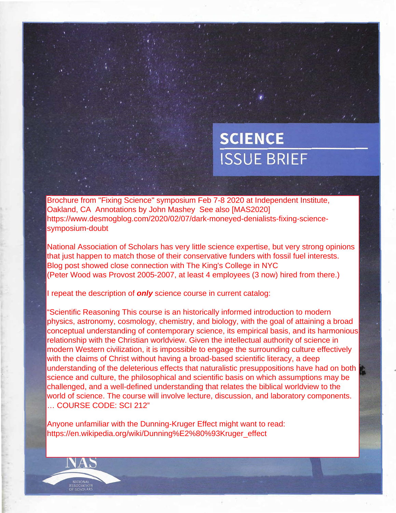# **SCIENCE ISSUE BRIEF**

Brochure from "Fixing Science" symposium Feb 7-8 2020 at Independent Institute, Oakland, CA Annotations by John Mashey See also [MAS2020] https://www.desmogblog.com/2020/02/07/dark-moneyed-denialists-fixing-sciencesymposium-doubt

National Association of Scholars has very little science expertise, but very strong opinions that just happen to match those of their conservative funders with fossil fuel interests. Blog post showed close connection with The King's College in NYC (Peter Wood was Provost 2005-2007, at least 4 employees (3 now) hired from there.)

I repeat the description of **only** science course in current catalog:

"Scientific Reasoning This course is an historically informed introduction to modern physics, astronomy, cosmology, chemistry, and biology, with the goal of attaining a broad conceptual understanding of contemporary science, its empirical basis, and its harmonious relationship with the Christian worldview. Given the intellectual authority of science in modern Western civilization, it is impossible to engage the surrounding culture effectively with the claims of Christ without having a broad-based scientific literacy, a deep understanding of the deleterious effects that naturalistic presuppositions have had on both science and culture, the philosophical and scientific basis on which assumptions may be challenged, and a well-defined understanding that relates the biblical worldview to the world of science. The course will involve lecture, discussion, and laboratory components. ... COURSE CODE: SCI 212"

Anyone unfamiliar with the Dunning-Kruger Effect might want to read: https://en.wikipedia.org/wiki/Dunning%E2%80%93Kruger\_effect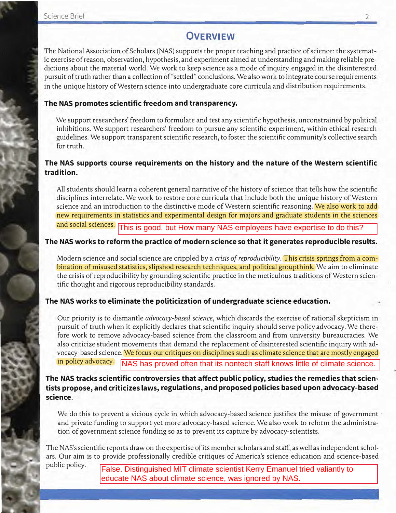## **OVERVIEW**

The National Association of Scholars (NAS) supports the proper teaching and practice of science: the systematic exercise of reason, observation, hypothesis, and experiment aimed at understanding and making reliable predictions about the material world. We work to keep science as a mode of inquiry engaged in the disinterested pursuit of truth rather than a collection of "settled" conclusions. We also work to integrate course requirements in the unique history of Western science into undergraduate core curricula and distribution requirements.

### **The NAS promotes scientific freedom and transparency.**

We support researchers' freedom to formulate and test any scientific hypothesis, unconstrained by political inhibitions. We support researchers' freedom to pursue any scientific experiment, within ethical research guidelines. We support transparent scientific research, to foster the scientific community's collective search for truth.

### **The NAS supports course requirements on the history and the nature of the Western scientific tradition.**

All students should learn a coherent general narrative of the history of science that tells how the scientifc <sup>i</sup> disciplines interrelate. We work to restore core curricula that include both the unique history of Western science and an introduction to the distinctive mode of Western scientific reasoning. We also work to add new requirements in statistics and experimental design for majors and graduate students in the sciences and social sciences. This is good, but How many NAS employees have expertise to do this?

### **The NAS works to reform the practice of modern science so that it generates reproducible results.**

Modern science and social science are crippled by a *crisis of reproducibility.* This crisis springs from a combination of misused statistics, slipshod research techniques, and political groupthink. We aim to eliminate the crisis of reproducibility by grounding scientific practice in the meticulous traditions of Western scientific thought and rigorous reproducibility standards.

### **The NAS works to eliminate the politicization of undergraduate science education.**

Our priority is to dismantle *advocacy-based science,* which discards the exercise of rational skepticism in pursuit of truth when it explicitly declares that scientific inquiry should serve policy advocacy. We therefore work to remove advocacy-based science from the classroom and from university bureaucracies. We also criticize student movements that demand the replacement of disinterested scientific inquiry with advocacy-based science. We focus our critiques on disciplines such as climate science that are mostly engaged in policy advocacy. NAS has proved often that its nontech staff knows little of climate science.

**The NAS tracks scientific controversies that affect public policy, studies the remedies that scientists propose, and criticizes laws, regulations, and proposed policies based upon advocacy-based science.** 

We do this to prevent a vicious cycle in which advocacy-based science justifies the misuse of government and private funding to support yet more advocacy-based science. We also work to reform the administration of government science funding so as to prevent its capture by advocacy-scientists.

The NAS's scientific reports draw on the expertise of its member scholars and staff, as well as independent scholars. Our aim is to provide professionally credible critiques of America's science education and science-based public policy.

False. Distinguished MIT climate scientist Kerry Emanuel tried valiantly to educate NAS about climate science, was ignored by NAS.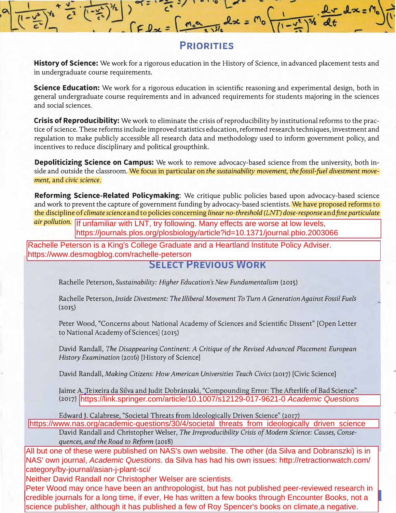

### **PRIORITIES**

**History of Science:** We work for a rigorous education in the History of Science, in advanced placement tests and in undergraduate course requirements.

**Science Education:** We work for a rigorous education in scientific reasoning and experimental design, both in general undergraduate course requirements and in advanced requirements for students majoring in the sciences and social sciences.

**Crisis of Reproducibility:** We work to eliminate the crisis of reproducibility by institutional reforms to the practice of science. These reforms include improved statistics education, reformed research techniques, investment and regulation to make publicly accessible all research data and methodology used to inform government policy, and incentives to reduce disciplinary and political groupthink.

**Depoliticizing Science on Campus:** We work to remove advocacy-based science from the university, both inside and outside the classroom. We focus in particular on *the sustainability movement, the fossil-fuel divestment movement,* and *civic science.* 

**Reforming Science-Related Policymaking:** We critique public policies based upon advocacy-based science and work to prevent the capture of government funding by advocacy-based scientists. We have proposed reforms to the discipline of *climate science* and to policies concerning *linear no-threshold (LNT) dose-response* and *fine particulate* 

air pollution. If unfamiliar with LNT, try following. Many effects are worse at low levels, https://journals.plos.org/plosbiology/article?id=10.1371/journal.pbio.2003066

Rachelle Peterson is a King's College Graduate and a Heartland Institute Policy Adviser. https://www.desmogblog.com/rachelle-peterson

### **SELECT PREVIOUS WORK**

Rachelle Peterson, *Sustainability: Higher Education's New Fundamentalism* (2015)

Rachelle Peterson, *Inside Divestment: The Illiberal Movement To Turn A Generation Against Fossil Fuels*  (2015)

Peter Wood, "Concerns about National Academy of Sciences and Scientific Dissent" [Open Letter to National Academy of Sciences] (2015)

David Randall, *The Disappearing Continent: A Critique of the Revised Advanced Placement European History Examination* (2016) [History of Science]

David Randall, *Making Citizens: How American Universities Teach Civics* (2017) [Civic Science]

Jaime A. Teixeira da Silva and Judit Dobránszki, "Compounding Error: The Afterlife of Bad Science" (2017) https://link.springer.com/article/10.1007/s12129-017-9621-0 Academic Questions

Edward J. Calabrese, "Societal Threats from Ideologically Driven Science" (2017)<br>https://www.nas.org/academic-questions/30/4/societal threats from ideologically driven science

David Randall and Christopher Welser, *The Irreproducibility Crisis of Modem Science: Causes, Consequences, and the Road to Reform* (2018)

All but one of these were published on NAS's own website. The other (da Silva and Dobranszki) is in NAS' own journal, Academic Questions. da Silva has had his own issues: http://retractionwatch.com/ category/by-journal/asian-j-plant-sci/

Neither David Randall nor Christopher Welser are scientists.

Peter Wood may once have been an anthropologist, but has not published peer-reviewed research in credible journals for a long time, if ever, He has written a few books through Encounter Books, not a (2017) https://link.springer.com/article/10.1007/s12129-017-9621-0 Academic Questions<br>
Edward J. Calabrese, "Societal Threats from Ideologically Driven Science" (2017)<br>
Inttps://www.nas.org/academic-questions/30/4/societal